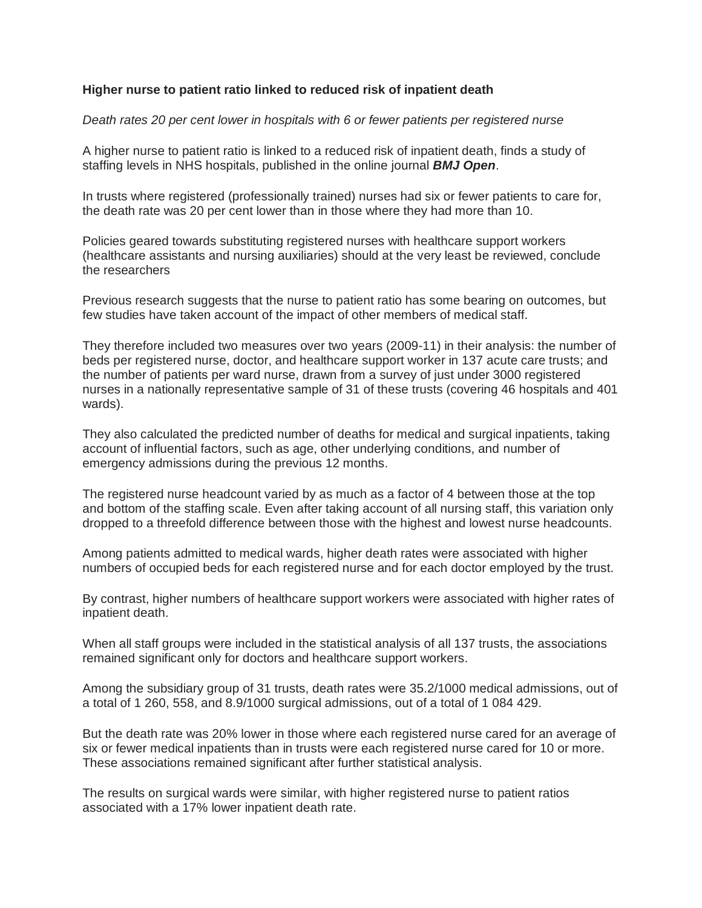## **Higher nurse to patient ratio linked to reduced risk of inpatient death**

## *Death rates 20 per cent lower in hospitals with 6 or fewer patients per registered nurse*

A higher nurse to patient ratio is linked to a reduced risk of inpatient death, finds a study of staffing levels in NHS hospitals, published in the online journal *BMJ Open*.

In trusts where registered (professionally trained) nurses had six or fewer patients to care for, the death rate was 20 per cent lower than in those where they had more than 10.

Policies geared towards substituting registered nurses with healthcare support workers (healthcare assistants and nursing auxiliaries) should at the very least be reviewed, conclude the researchers

Previous research suggests that the nurse to patient ratio has some bearing on outcomes, but few studies have taken account of the impact of other members of medical staff.

They therefore included two measures over two years (2009-11) in their analysis: the number of beds per registered nurse, doctor, and healthcare support worker in 137 acute care trusts; and the number of patients per ward nurse, drawn from a survey of just under 3000 registered nurses in a nationally representative sample of 31 of these trusts (covering 46 hospitals and 401 wards).

They also calculated the predicted number of deaths for medical and surgical inpatients, taking account of influential factors, such as age, other underlying conditions, and number of emergency admissions during the previous 12 months.

The registered nurse headcount varied by as much as a factor of 4 between those at the top and bottom of the staffing scale. Even after taking account of all nursing staff, this variation only dropped to a threefold difference between those with the highest and lowest nurse headcounts.

Among patients admitted to medical wards, higher death rates were associated with higher numbers of occupied beds for each registered nurse and for each doctor employed by the trust.

By contrast, higher numbers of healthcare support workers were associated with higher rates of inpatient death.

When all staff groups were included in the statistical analysis of all 137 trusts, the associations remained significant only for doctors and healthcare support workers.

Among the subsidiary group of 31 trusts, death rates were 35.2/1000 medical admissions, out of a total of 1 260, 558, and 8.9/1000 surgical admissions, out of a total of 1 084 429.

But the death rate was 20% lower in those where each registered nurse cared for an average of six or fewer medical inpatients than in trusts were each registered nurse cared for 10 or more. These associations remained significant after further statistical analysis.

The results on surgical wards were similar, with higher registered nurse to patient ratios associated with a 17% lower inpatient death rate.